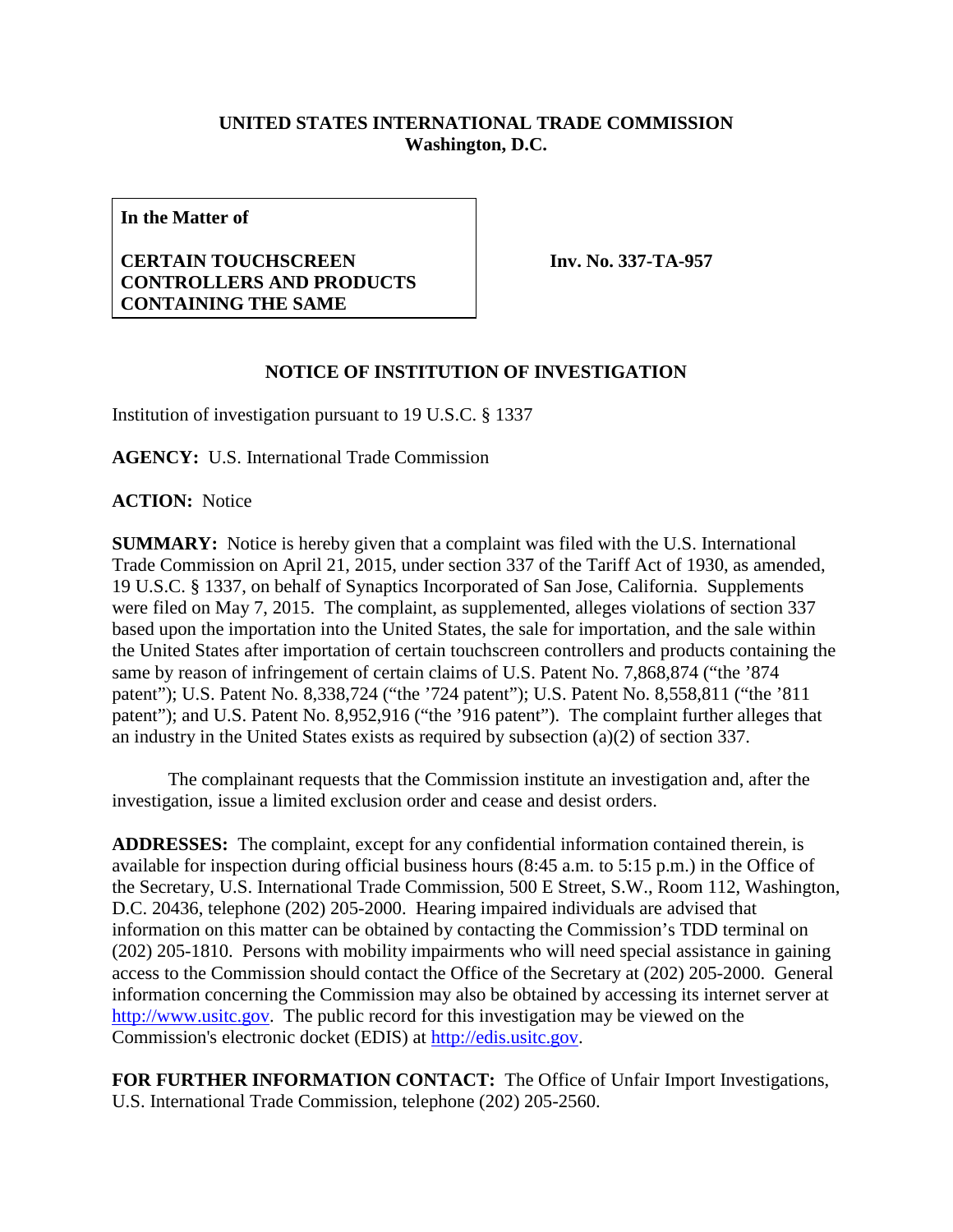## **UNITED STATES INTERNATIONAL TRADE COMMISSION Washington, D.C.**

**In the Matter of**

## **CERTAIN TOUCHSCREEN CONTROLLERS AND PRODUCTS CONTAINING THE SAME**

**Inv. No. 337-TA-957**

## **NOTICE OF INSTITUTION OF INVESTIGATION**

Institution of investigation pursuant to 19 U.S.C. § 1337

**AGENCY:** U.S. International Trade Commission

**ACTION:** Notice

**SUMMARY:** Notice is hereby given that a complaint was filed with the U.S. International Trade Commission on April 21, 2015, under section 337 of the Tariff Act of 1930, as amended, 19 U.S.C. § 1337, on behalf of Synaptics Incorporated of San Jose, California. Supplements were filed on May 7, 2015. The complaint, as supplemented, alleges violations of section 337 based upon the importation into the United States, the sale for importation, and the sale within the United States after importation of certain touchscreen controllers and products containing the same by reason of infringement of certain claims of U.S. Patent No. 7,868,874 ("the '874 patent"); U.S. Patent No. 8,338,724 ("the '724 patent"); U.S. Patent No. 8,558,811 ("the '811 patent"); and U.S. Patent No. 8,952,916 ("the '916 patent"). The complaint further alleges that an industry in the United States exists as required by subsection (a)(2) of section 337.

The complainant requests that the Commission institute an investigation and, after the investigation, issue a limited exclusion order and cease and desist orders.

**ADDRESSES:** The complaint, except for any confidential information contained therein, is available for inspection during official business hours (8:45 a.m. to 5:15 p.m.) in the Office of the Secretary, U.S. International Trade Commission, 500 E Street, S.W., Room 112, Washington, D.C. 20436, telephone (202) 205-2000. Hearing impaired individuals are advised that information on this matter can be obtained by contacting the Commission's TDD terminal on (202) 205-1810. Persons with mobility impairments who will need special assistance in gaining access to the Commission should contact the Office of the Secretary at (202) 205-2000. General information concerning the Commission may also be obtained by accessing its internet server at [http://www.usitc.gov.](http://www.usitc.gov/) The public record for this investigation may be viewed on the Commission's electronic docket (EDIS) at [http://edis.usitc.gov.](http://edis.usitc.gov/)

**FOR FURTHER INFORMATION CONTACT:** The Office of Unfair Import Investigations, U.S. International Trade Commission, telephone (202) 205-2560.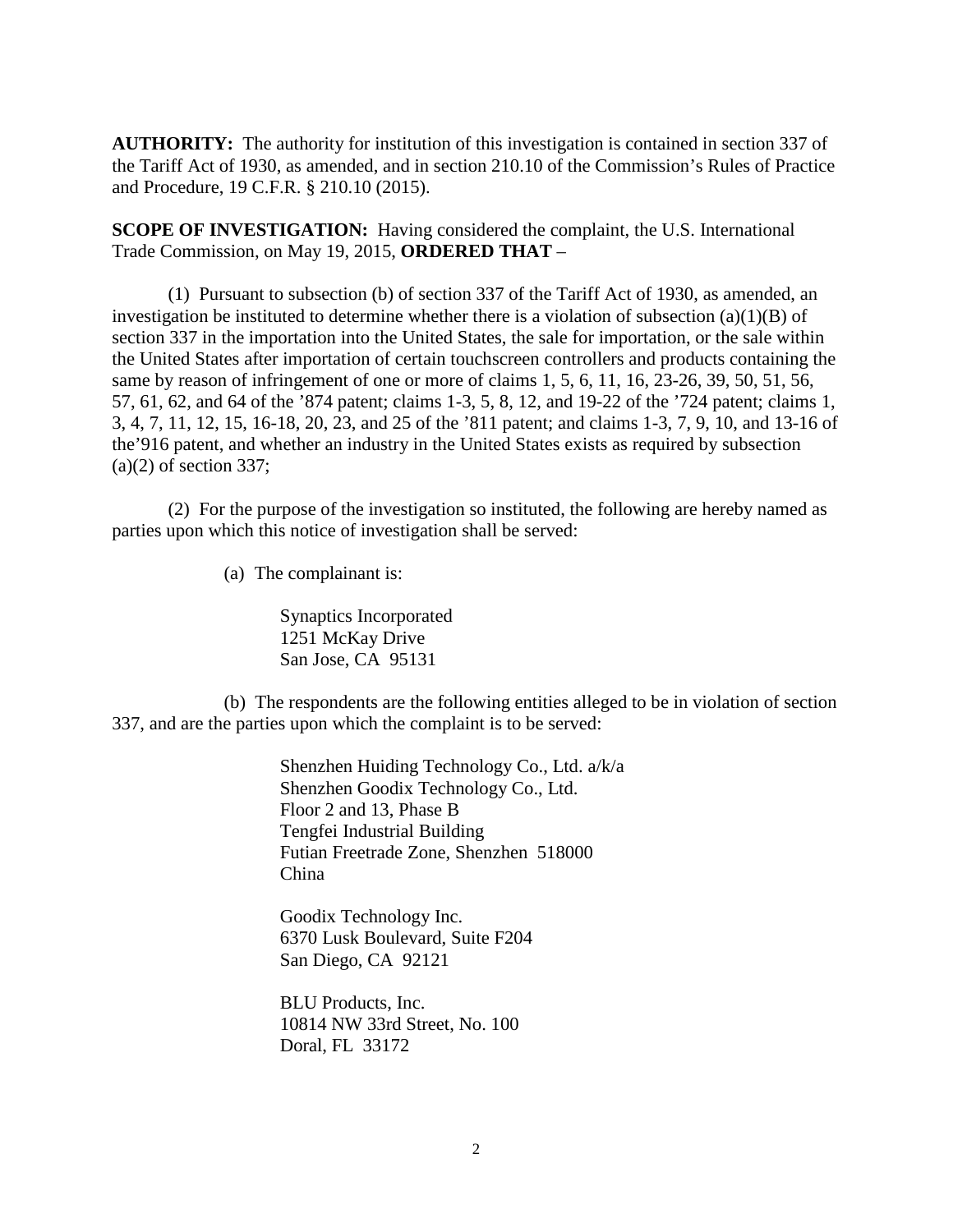**AUTHORITY:** The authority for institution of this investigation is contained in section 337 of the Tariff Act of 1930, as amended, and in section 210.10 of the Commission's Rules of Practice and Procedure, 19 C.F.R. § 210.10 (2015).

**SCOPE OF INVESTIGATION:** Having considered the complaint, the U.S. International Trade Commission, on May 19, 2015, **ORDERED THAT** –

(1) Pursuant to subsection (b) of section 337 of the Tariff Act of 1930, as amended, an investigation be instituted to determine whether there is a violation of subsection (a)(1)(B) of section 337 in the importation into the United States, the sale for importation, or the sale within the United States after importation of certain touchscreen controllers and products containing the same by reason of infringement of one or more of claims 1, 5, 6, 11, 16, 23-26, 39, 50, 51, 56, 57, 61, 62, and 64 of the '874 patent; claims 1-3, 5, 8, 12, and 19-22 of the '724 patent; claims 1, 3, 4, 7, 11, 12, 15, 16-18, 20, 23, and 25 of the '811 patent; and claims 1-3, 7, 9, 10, and 13-16 of the'916 patent, and whether an industry in the United States exists as required by subsection  $(a)(2)$  of section 337;

(2) For the purpose of the investigation so instituted, the following are hereby named as parties upon which this notice of investigation shall be served:

(a) The complainant is:

Synaptics Incorporated 1251 McKay Drive San Jose, CA 95131

(b) The respondents are the following entities alleged to be in violation of section 337, and are the parties upon which the complaint is to be served:

> Shenzhen Huiding Technology Co., Ltd. a/k/a Shenzhen Goodix Technology Co., Ltd. Floor 2 and 13, Phase B Tengfei Industrial Building Futian Freetrade Zone, Shenzhen 518000 China

Goodix Technology Inc. 6370 Lusk Boulevard, Suite F204 San Diego, CA 92121

BLU Products, Inc. 10814 NW 33rd Street, No. 100 Doral, FL 33172